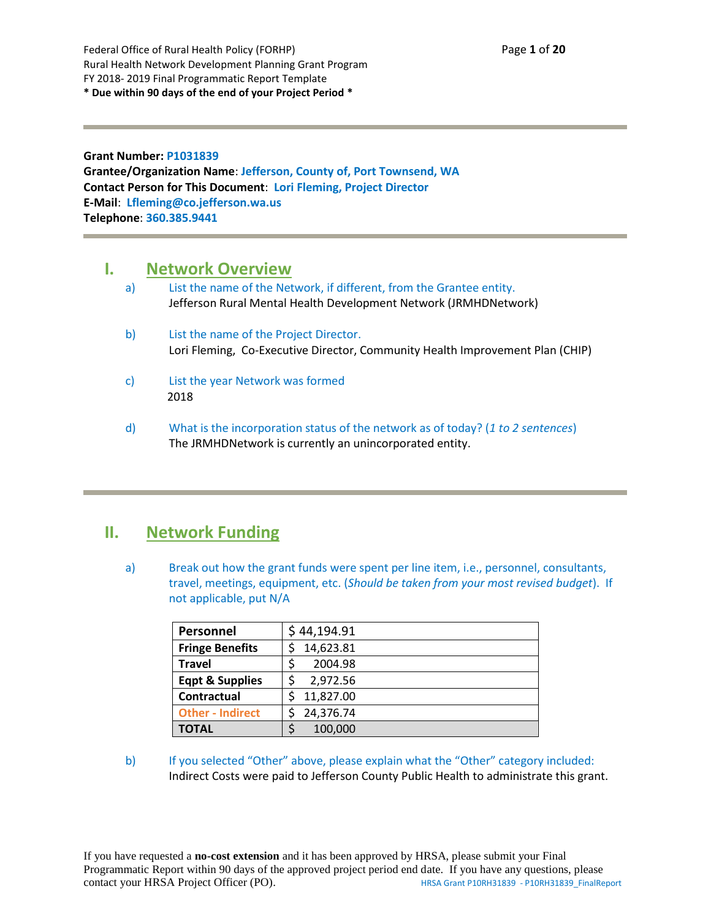Federal Office of Rural Health Policy (FORHP) Page **1** of **20** Rural Health Network Development Planning Grant Program FY 2018- 2019 Final Programmatic Report Template **\* Due within 90 days of the end of your Project Period \***

**Grant Number: P1031839 Grantee/Organization Name**: **Jefferson, County of, Port Townsend, WA Contact Person for This Document**: **Lori Fleming, Project Director E-Mail**: **Lfleming@co.jefferson.wa.us Telephone**: **360.385.9441**

### **I. Network Overview**

- a) List the name of the Network, if different, from the Grantee entity. Jefferson Rural Mental Health Development Network (JRMHDNetwork)
- b) List the name of the Project Director. Lori Fleming, Co-Executive Director, Community Health Improvement Plan (CHIP)
- c) List the year Network was formed 2018
- d) What is the incorporation status of the network as of today? (*1 to 2 sentences*) The JRMHDNetwork is currently an unincorporated entity.

### **II. Network Funding**

a) Break out how the grant funds were spent per line item, i.e., personnel, consultants, travel, meetings, equipment, etc. (*Should be taken from your most revised budget*). If not applicable, put N/A

| Personnel                  | \$44,194.91 |
|----------------------------|-------------|
| <b>Fringe Benefits</b>     | 14,623.81   |
| <b>Travel</b>              | 2004.98     |
| <b>Eqpt &amp; Supplies</b> | 2,972.56    |
| Contractual                | 11,827.00   |
| <b>Other - Indirect</b>    | 24,376.74   |
| <b>TOTAL</b>               | 100,000     |

b) If you selected "Other" above, please explain what the "Other" category included: Indirect Costs were paid to Jefferson County Public Health to administrate this grant.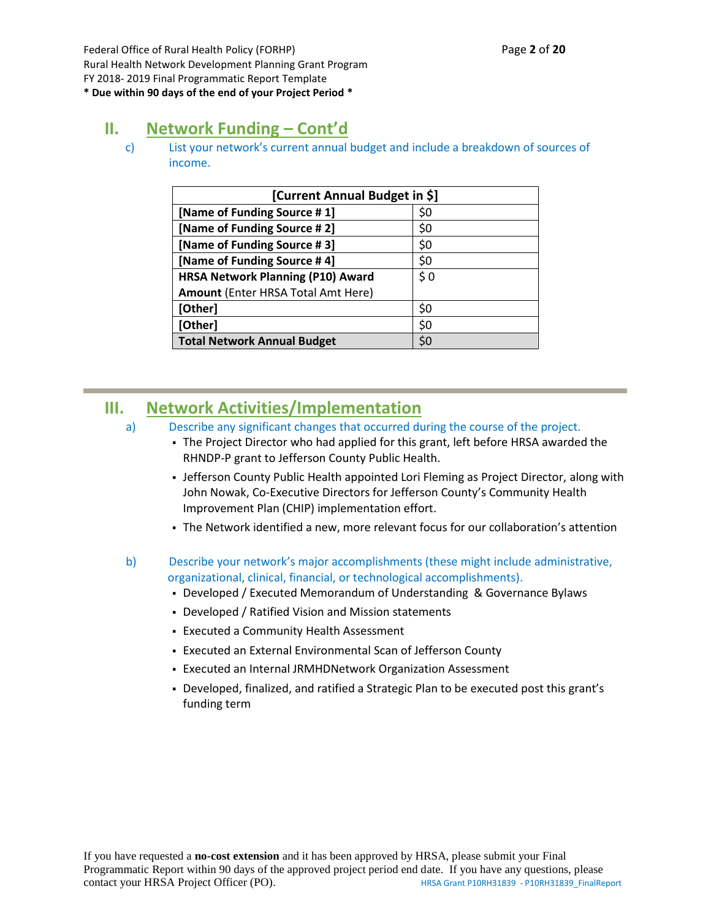Federal Office of Rural Health Policy (FORHP) Page **2** of **20** Rural Health Network Development Planning Grant Program FY 2018- 2019 Final Programmatic Report Template **\* Due within 90 days of the end of your Project Period \***

# **II. Network Funding – Cont'd**

c) List your network's current annual budget and include a breakdown of sources of income.

| [Current Annual Budget in \$]            |     |  |  |
|------------------------------------------|-----|--|--|
| [Name of Funding Source #1]              | \$0 |  |  |
| [Name of Funding Source #2]              | \$0 |  |  |
| [Name of Funding Source #3]              | \$0 |  |  |
| [Name of Funding Source #4]              | \$0 |  |  |
| <b>HRSA Network Planning (P10) Award</b> | \$0 |  |  |
| Amount (Enter HRSA Total Amt Here)       |     |  |  |
| [Other]                                  | \$0 |  |  |
| [Other]                                  | \$0 |  |  |
| <b>Total Network Annual Budget</b>       | S0  |  |  |

## **III. Network Activities/Implementation**

- a) Describe any significant changes that occurred during the course of the project.
	- The Project Director who had applied for this grant, left before HRSA awarded the RHNDP-P grant to Jefferson County Public Health.
	- **Jefferson County Public Health appointed Lori Fleming as Project Director, along with** John Nowak, Co-Executive Directors for Jefferson County's Community Health Improvement Plan (CHIP) implementation effort.
	- The Network identified a new, more relevant focus for our collaboration's attention
- b) Describe your network's major accomplishments (these might include administrative, organizational, clinical, financial, or technological accomplishments).
	- Developed / Executed Memorandum of Understanding & Governance Bylaws
	- Developed / Ratified Vision and Mission statements
	- Executed a Community Health Assessment
	- Executed an External Environmental Scan of Jefferson County
	- Executed an Internal JRMHDNetwork Organization Assessment
	- Developed, finalized, and ratified a Strategic Plan to be executed post this grant's funding term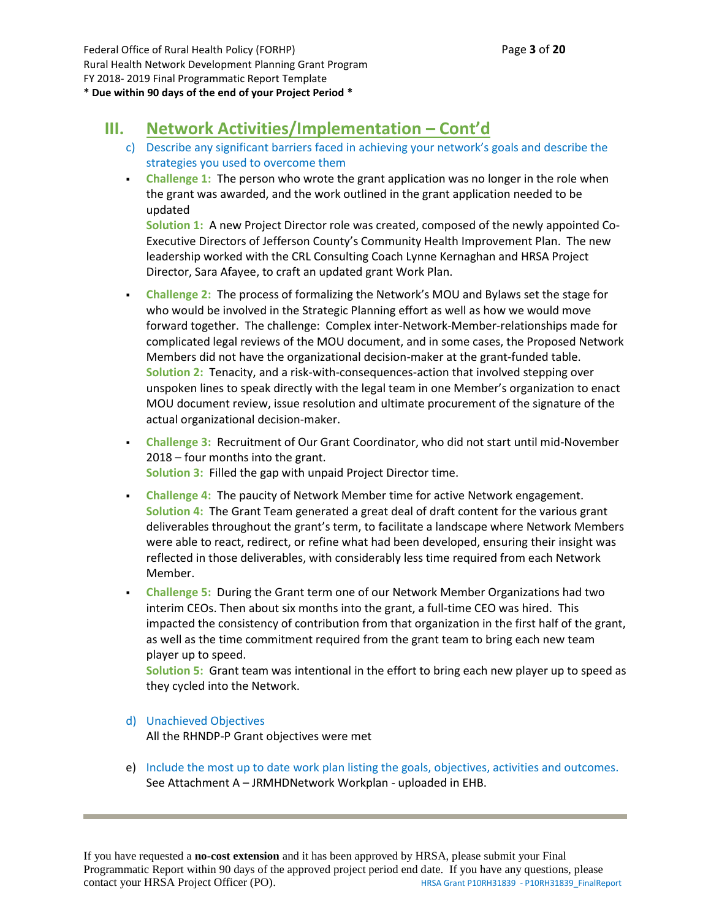# **III. Network Activities/Implementation – Cont'd**

- c) Describe any significant barriers faced in achieving your network's goals and describe the strategies you used to overcome them
- **Challenge 1:** The person who wrote the grant application was no longer in the role when the grant was awarded, and the work outlined in the grant application needed to be updated

**Solution 1:** A new Project Director role was created, composed of the newly appointed Co-Executive Directors of Jefferson County's Community Health Improvement Plan. The new leadership worked with the CRL Consulting Coach Lynne Kernaghan and HRSA Project Director, Sara Afayee, to craft an updated grant Work Plan.

- **Challenge 2:** The process of formalizing the Network's MOU and Bylaws set the stage for who would be involved in the Strategic Planning effort as well as how we would move forward together. The challenge: Complex inter-Network-Member-relationships made for complicated legal reviews of the MOU document, and in some cases, the Proposed Network Members did not have the organizational decision-maker at the grant-funded table. **Solution 2:** Tenacity, and a risk-with-consequences-action that involved stepping over unspoken lines to speak directly with the legal team in one Member's organization to enact MOU document review, issue resolution and ultimate procurement of the signature of the actual organizational decision-maker.
- **Challenge 3:** Recruitment of Our Grant Coordinator, who did not start until mid-November 2018 – four months into the grant. **Solution 3:** Filled the gap with unpaid Project Director time.
- **Challenge 4:** The paucity of Network Member time for active Network engagement. **Solution 4:** The Grant Team generated a great deal of draft content for the various grant deliverables throughout the grant's term, to facilitate a landscape where Network Members were able to react, redirect, or refine what had been developed, ensuring their insight was reflected in those deliverables, with considerably less time required from each Network Member.
- **Challenge 5:** During the Grant term one of our Network Member Organizations had two interim CEOs. Then about six months into the grant, a full-time CEO was hired. This impacted the consistency of contribution from that organization in the first half of the grant, as well as the time commitment required from the grant team to bring each new team player up to speed.

**Solution 5:** Grant team was intentional in the effort to bring each new player up to speed as they cycled into the Network.

#### d) Unachieved Objectives

All the RHNDP-P Grant objectives were met

e) Include the most up to date work plan listing the goals, objectives, activities and outcomes. See Attachment A – JRMHDNetwork Workplan - uploaded in EHB.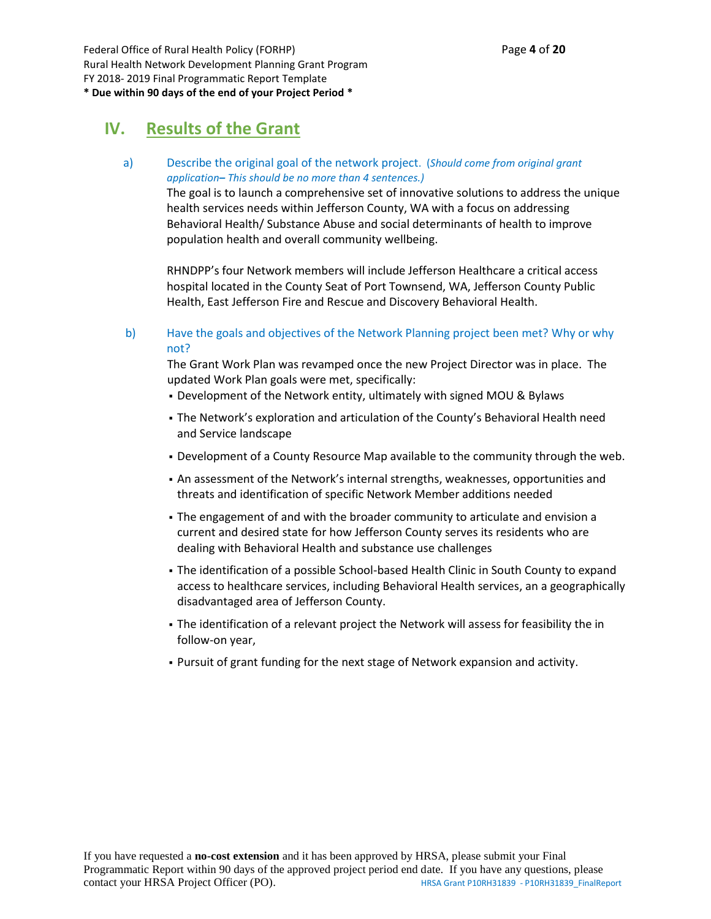Federal Office of Rural Health Policy (FORHP) Page **4** of **20** Rural Health Network Development Planning Grant Program FY 2018- 2019 Final Programmatic Report Template **\* Due within 90 days of the end of your Project Period \***

### **IV. Results of the Grant**

a) Describe the original goal of the network project. (*Should come from original grant application– This should be no more than 4 sentences.)*

> The goal is to launch a comprehensive set of innovative solutions to address the unique health services needs within Jefferson County, WA with a focus on addressing Behavioral Health/ Substance Abuse and social determinants of health to improve population health and overall community wellbeing.

RHNDPP's four Network members will include Jefferson Healthcare a critical access hospital located in the County Seat of Port Townsend, WA, Jefferson County Public Health, East Jefferson Fire and Rescue and Discovery Behavioral Health.

b) Have the goals and objectives of the Network Planning project been met? Why or why not?

The Grant Work Plan was revamped once the new Project Director was in place. The updated Work Plan goals were met, specifically:

- Development of the Network entity, ultimately with signed MOU & Bylaws
- The Network's exploration and articulation of the County's Behavioral Health need and Service landscape
- Development of a County Resource Map available to the community through the web.
- An assessment of the Network's internal strengths, weaknesses, opportunities and threats and identification of specific Network Member additions needed
- The engagement of and with the broader community to articulate and envision a current and desired state for how Jefferson County serves its residents who are dealing with Behavioral Health and substance use challenges
- . The identification of a possible School-based Health Clinic in South County to expand access to healthcare services, including Behavioral Health services, an a geographically disadvantaged area of Jefferson County.
- The identification of a relevant project the Network will assess for feasibility the in follow-on year,
- Pursuit of grant funding for the next stage of Network expansion and activity.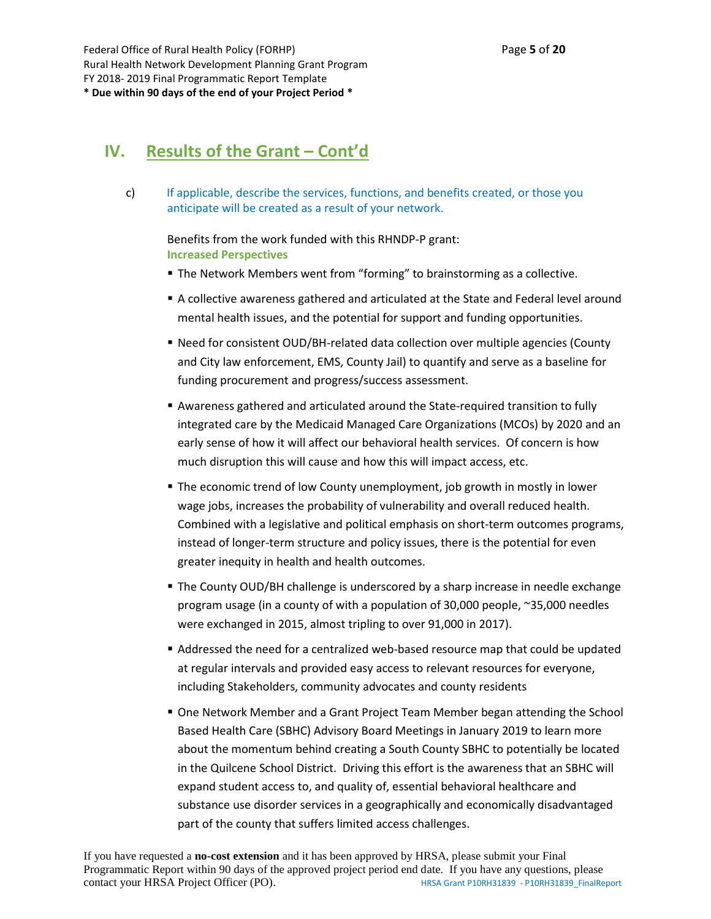### **IV. Results of the Grant – Cont'd**

c) If applicable, describe the services, functions, and benefits created, or those you anticipate will be created as a result of your network.

Benefits from the work funded with this RHNDP-P grant: **Increased Perspectives**

- The Network Members went from "forming" to brainstorming as a collective.
- **A collective awareness gathered and articulated at the State and Federal level around** mental health issues, and the potential for support and funding opportunities.
- **EXECT OF SHOURGE 1** Need for consistent OUD/BH-related data collection over multiple agencies (County and City law enforcement, EMS, County Jail) to quantify and serve as a baseline for funding procurement and progress/success assessment.
- Awareness gathered and articulated around the State-required transition to fully integrated care by the Medicaid Managed Care Organizations (MCOs) by 2020 and an early sense of how it will affect our behavioral health services. Of concern is how much disruption this will cause and how this will impact access, etc.
- **The economic trend of low County unemployment, job growth in mostly in lower** wage jobs, increases the probability of vulnerability and overall reduced health. Combined with a legislative and political emphasis on short-term outcomes programs, instead of longer-term structure and policy issues, there is the potential for even greater inequity in health and health outcomes.
- **The County OUD/BH challenge is underscored by a sharp increase in needle exchange** program usage (in a county of with a population of 30,000 people, ~35,000 needles were exchanged in 2015, almost tripling to over 91,000 in 2017).
- Addressed the need for a centralized web-based resource map that could be updated at regular intervals and provided easy access to relevant resources for everyone, including Stakeholders, community advocates and county residents
- One Network Member and a Grant Project Team Member began attending the School Based Health Care (SBHC) Advisory Board Meetings in January 2019 to learn more about the momentum behind creating a South County SBHC to potentially be located in the Quilcene School District. Driving this effort is the awareness that an SBHC will expand student access to, and quality of, essential behavioral healthcare and substance use disorder services in a geographically and economically disadvantaged part of the county that suffers limited access challenges.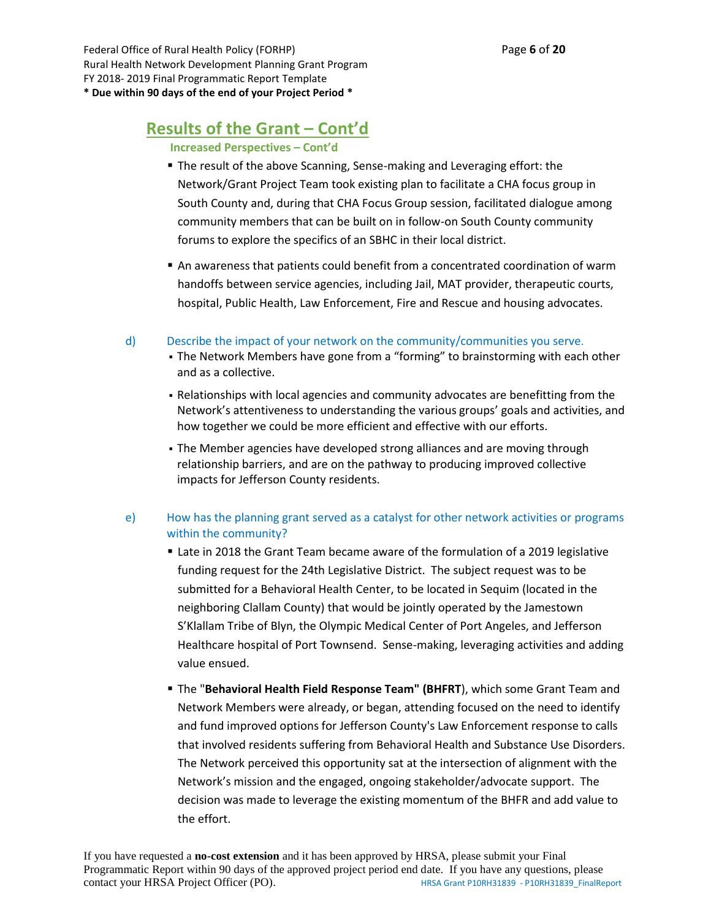Federal Office of Rural Health Policy (FORHP) Page **6** of **20** Rural Health Network Development Planning Grant Program FY 2018- 2019 Final Programmatic Report Template **\* Due within 90 days of the end of your Project Period \***

### **Results of the Grant – Cont'd**

**Increased Perspectives – Cont'd**

- The result of the above Scanning, Sense-making and Leveraging effort: the Network/Grant Project Team took existing plan to facilitate a CHA focus group in South County and, during that CHA Focus Group session, facilitated dialogue among community members that can be built on in follow-on South County community forums to explore the specifics of an SBHC in their local district.
- An awareness that patients could benefit from a concentrated coordination of warm handoffs between service agencies, including Jail, MAT provider, therapeutic courts, hospital, Public Health, Law Enforcement, Fire and Rescue and housing advocates.
- d) Describe the impact of your network on the community/communities you serve.
	- The Network Members have gone from a "forming" to brainstorming with each other and as a collective.
	- Relationships with local agencies and community advocates are benefitting from the Network's attentiveness to understanding the various groups' goals and activities, and how together we could be more efficient and effective with our efforts.
	- The Member agencies have developed strong alliances and are moving through relationship barriers, and are on the pathway to producing improved collective impacts for Jefferson County residents.

#### e) How has the planning grant served as a catalyst for other network activities or programs within the community?

- **Example 1 and 2018** the Grant Team became aware of the formulation of a 2019 legislative funding request for the 24th Legislative District. The subject request was to be submitted for a Behavioral Health Center, to be located in Sequim (located in the neighboring Clallam County) that would be jointly operated by the Jamestown S'Klallam Tribe of Blyn, the Olympic Medical Center of Port Angeles, and Jefferson Healthcare hospital of Port Townsend. Sense-making, leveraging activities and adding value ensued.
- The "**Behavioral Health Field Response Team" (BHFRT**), which some Grant Team and Network Members were already, or began, attending focused on the need to identify and fund improved options for Jefferson County's Law Enforcement response to calls that involved residents suffering from Behavioral Health and Substance Use Disorders. The Network perceived this opportunity sat at the intersection of alignment with the Network's mission and the engaged, ongoing stakeholder/advocate support. The decision was made to leverage the existing momentum of the BHFR and add value to the effort.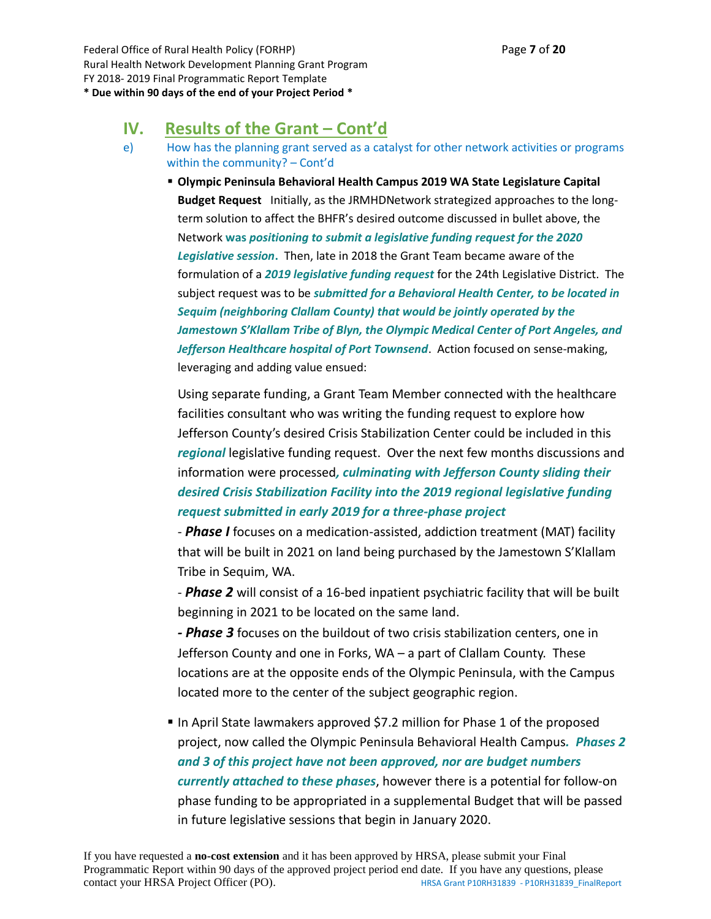### **IV. Results of the Grant – Cont'd**

e) How has the planning grant served as a catalyst for other network activities or programs within the community? – Cont'd

▪ **Olympic Peninsula Behavioral Health Campus 2019 WA State Legislature Capital Budget Request** Initially, as the JRMHDNetwork strategized approaches to the longterm solution to affect the BHFR's desired outcome discussed in bullet above, the Network **was** *positioning to submit a legislative funding request for the 2020 Legislative session***.** Then, late in 2018 the Grant Team became aware of the formulation of a *2019 legislative funding request* for the 24th Legislative District. The subject request was to be *submitted for a Behavioral Health Center, to be located in Sequim (neighboring Clallam County) that would be jointly operated by the*  Jamestown S'Klallam Tribe of Blyn, the Olympic Medical Center of Port Angeles, and *Jefferson Healthcare hospital of Port Townsend*. Action focused on sense-making, leveraging and adding value ensued:

Using separate funding, a Grant Team Member connected with the healthcare facilities consultant who was writing the funding request to explore how Jefferson County's desired Crisis Stabilization Center could be included in this *regional* legislative funding request. Over the next few months discussions and information were processed*, culminating with Jefferson County sliding their desired Crisis Stabilization Facility into the 2019 regional legislative funding request submitted in early 2019 for a three-phase project*

- *Phase I* focuses on a medication-assisted, addiction treatment (MAT) facility that will be built in 2021 on land being purchased by the Jamestown S'Klallam Tribe in Sequim, WA.

- *Phase 2* will consist of a 16-bed inpatient psychiatric facility that will be built beginning in 2021 to be located on the same land.

*- Phase 3* focuses on the buildout of two crisis stabilization centers, one in Jefferson County and one in Forks, WA – a part of Clallam County. These locations are at the opposite ends of the Olympic Peninsula, with the Campus located more to the center of the subject geographic region.

■ In April State lawmakers approved \$7.2 million for Phase 1 of the proposed project, now called the Olympic Peninsula Behavioral Health Campus*. Phases 2 and 3 of this project have not been approved, nor are budget numbers currently attached to these phases*, however there is a potential for follow-on phase funding to be appropriated in a supplemental Budget that will be passed in future legislative sessions that begin in January 2020.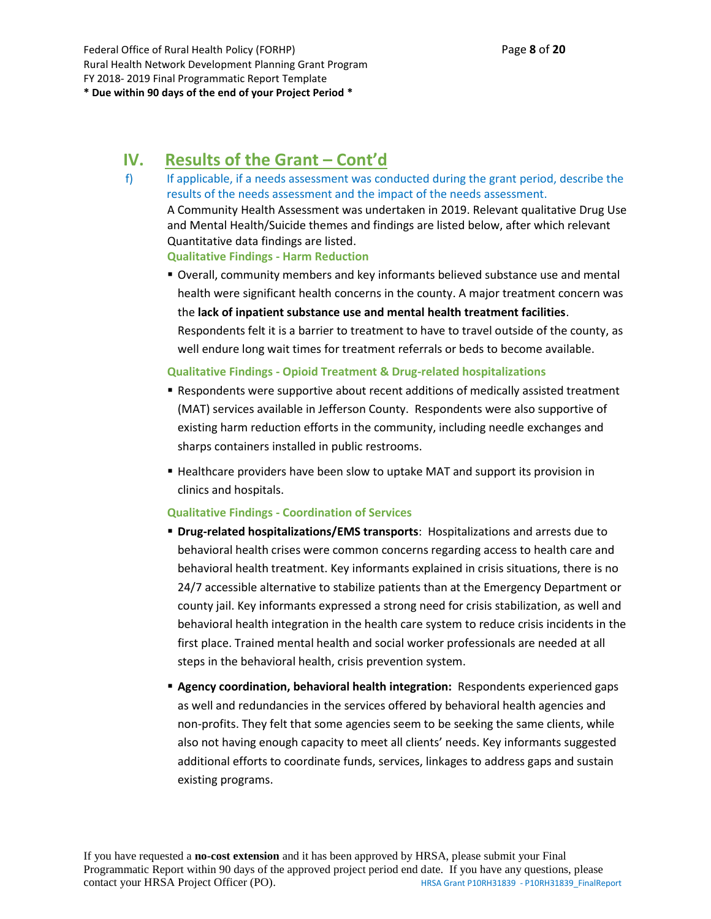# **IV. Results of the Grant – Cont'd**

- f) If applicable, if a needs assessment was conducted during the grant period, describe the results of the needs assessment and the impact of the needs assessment. A Community Health Assessment was undertaken in 2019. Relevant qualitative Drug Use and Mental Health/Suicide themes and findings are listed below, after which relevant Quantitative data findings are listed. **Qualitative Findings - Harm Reduction**
	- Overall, community members and key informants believed substance use and mental health were significant health concerns in the county. A major treatment concern was the **lack of inpatient substance use and mental health treatment facilities**. Respondents felt it is a barrier to treatment to have to travel outside of the county, as well endure long wait times for treatment referrals or beds to become available.

#### **Qualitative Findings - Opioid Treatment & Drug-related hospitalizations**

- **EXE** Respondents were supportive about recent additions of medically assisted treatment (MAT) services available in Jefferson County. Respondents were also supportive of existing harm reduction efforts in the community, including needle exchanges and sharps containers installed in public restrooms.
- Healthcare providers have been slow to uptake MAT and support its provision in clinics and hospitals.

#### **Qualitative Findings - Coordination of Services**

- **Drug-related hospitalizations/EMS transports**: Hospitalizations and arrests due to behavioral health crises were common concerns regarding access to health care and behavioral health treatment. Key informants explained in crisis situations, there is no 24/7 accessible alternative to stabilize patients than at the Emergency Department or county jail. Key informants expressed a strong need for crisis stabilization, as well and behavioral health integration in the health care system to reduce crisis incidents in the first place. Trained mental health and social worker professionals are needed at all steps in the behavioral health, crisis prevention system.
- **Agency coordination, behavioral health integration:** Respondents experienced gaps as well and redundancies in the services offered by behavioral health agencies and non-profits. They felt that some agencies seem to be seeking the same clients, while also not having enough capacity to meet all clients' needs. Key informants suggested additional efforts to coordinate funds, services, linkages to address gaps and sustain existing programs.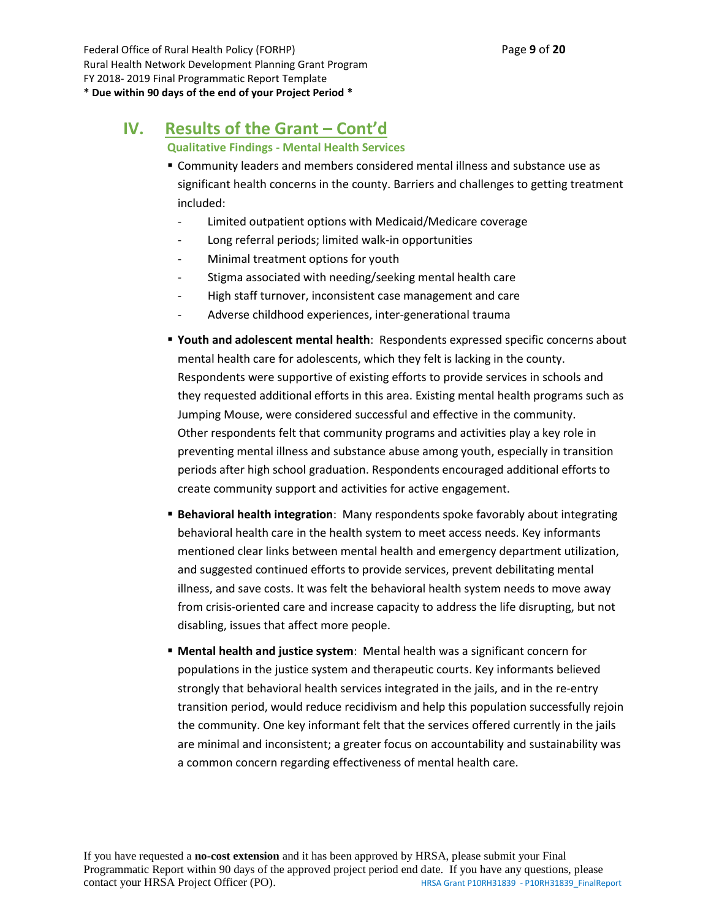Federal Office of Rural Health Policy (FORHP) Page **9** of **20** Rural Health Network Development Planning Grant Program FY 2018- 2019 Final Programmatic Report Template **\* Due within 90 days of the end of your Project Period \***

# **IV. Results of the Grant – Cont'd**

**Qualitative Findings - Mental Health Services**

- Community leaders and members considered mental illness and substance use as significant health concerns in the county. Barriers and challenges to getting treatment included:
	- Limited outpatient options with Medicaid/Medicare coverage
	- Long referral periods; limited walk-in opportunities
	- Minimal treatment options for youth
	- Stigma associated with needing/seeking mental health care
	- High staff turnover, inconsistent case management and care
	- Adverse childhood experiences, inter-generational trauma
- **Youth and adolescent mental health**: Respondents expressed specific concerns about mental health care for adolescents, which they felt is lacking in the county. Respondents were supportive of existing efforts to provide services in schools and they requested additional efforts in this area. Existing mental health programs such as Jumping Mouse, were considered successful and effective in the community. Other respondents felt that community programs and activities play a key role in preventing mental illness and substance abuse among youth, especially in transition periods after high school graduation. Respondents encouraged additional efforts to create community support and activities for active engagement.
- **Behavioral health integration**: Many respondents spoke favorably about integrating behavioral health care in the health system to meet access needs. Key informants mentioned clear links between mental health and emergency department utilization, and suggested continued efforts to provide services, prevent debilitating mental illness, and save costs. It was felt the behavioral health system needs to move away from crisis-oriented care and increase capacity to address the life disrupting, but not disabling, issues that affect more people.
- **Mental health and justice system**: Mental health was a significant concern for populations in the justice system and therapeutic courts. Key informants believed strongly that behavioral health services integrated in the jails, and in the re-entry transition period, would reduce recidivism and help this population successfully rejoin the community. One key informant felt that the services offered currently in the jails are minimal and inconsistent; a greater focus on accountability and sustainability was a common concern regarding effectiveness of mental health care.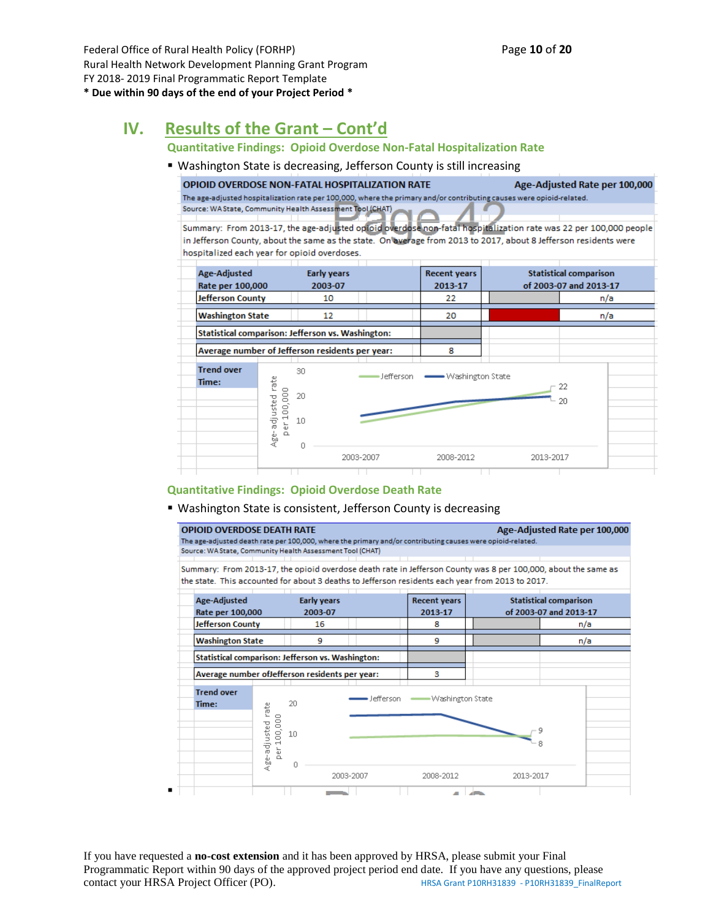Federal Office of Rural Health Policy (FORHP) Page **10** of **20** Rural Health Network Development Planning Grant Program FY 2018- 2019 Final Programmatic Report Template

#### **\* Due within 90 days of the end of your Project Period \***

▪

# **IV. Results of the Grant – Cont'd**

#### **Quantitative Findings: Opioid Overdose Non-Fatal Hospitalization Rate**

#### ■ Washington State is decreasing, Jefferson County is still increasing

**OPIOID OVERDOSE NON-FATAL HOSPITALIZATION RATE** Age-Adjusted Rate per 100,000 The age-adjusted hospitalization rate per 100,000, where the primary and/or contributing causes were opioid-related. Source: WA State, Community Health Assessment Tool (CHAT)

Summary: From 2013-17, the age-adjusted optoid overdose non-fatal hospitalization rate was 22 per 100,000 people in Jefferson County, about the same as the state. On average from 2013 to 2017, about 8 Jefferson residents were hospitalized each year for opioid overdoses.



#### **Quantitative Findings: Opioid Overdose Death Rate**

#### ■ Washington State is consistent, Jefferson County is decreasing

**OPIOID OVERDOSE DEATH RATE** Age-Adjusted Rate per 100,000 The age-adjusted death rate per 100,000, where the primary and/or contributing causes were opioid-related. Source: WA State, Community Health Assessment Tool (CHAT)

Summary: From 2013-17, the opioid overdose death rate in Jefferson County was 8 per 100,000, about the same as the state. This accounted for about 3 deaths to Jefferson residents each year from 2013 to 2017.

| Age-Adjusted<br><b>Early years</b><br>Rate per 100,000<br>2003-07 |                                             |               | <b>Recent years</b><br>2013-17 | <b>Statistical comparison</b><br>of 2003-07 and 2013-17 |                  |  |           |     |  |
|-------------------------------------------------------------------|---------------------------------------------|---------------|--------------------------------|---------------------------------------------------------|------------------|--|-----------|-----|--|
| <b>Jefferson County</b>                                           |                                             | 16            |                                |                                                         | 8                |  |           | n/a |  |
| <b>Washington State</b>                                           |                                             | 9             |                                |                                                         | 9                |  |           | n/a |  |
| <b>Statistical comparison: Jefferson vs. Washington:</b>          |                                             |               |                                |                                                         |                  |  |           |     |  |
| Average number of Jefferson residents per year:                   |                                             |               |                                |                                                         | з                |  |           |     |  |
| <b>Trend over</b><br>Time:                                        | fate<br>100,000<br>Age-adjusted<br>ber<br>D | 20<br>10<br>0 |                                | Jefferson                                               | Washington State |  | 9<br>8    |     |  |
|                                                                   |                                             |               | 2003-2007                      |                                                         | 2008-2012        |  | 2013-2017 |     |  |

If you have requested a **no-cost extension** and it has been approved by HRSA, please submit your Final Programmatic Report within 90 days of the approved project period end date. If you have any questions, please contact your HRSA Project Officer (PO). HRSA Grant P10RH31839 - P10RH31839\_FinalReport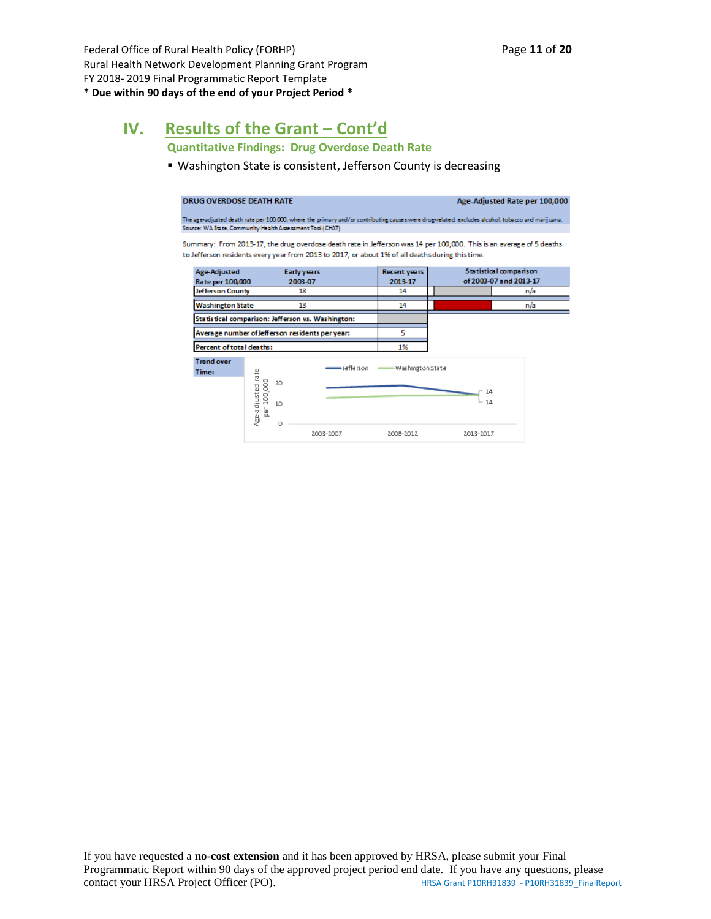Federal Office of Rural Health Policy (FORHP) Page 11 of 20 Rural Health Network Development Planning Grant Program FY 2018- 2019 Final Programmatic Report Template **\* Due within 90 days of the end of your Project Period \***

# **IV. Results of the Grant – Cont'd**

**Quantitative Findings: Drug Overdose Death Rate**

■ Washington State is consistent, Jefferson County is decreasing

| DRUG OVERDOSE DEATH RATE         |                                                           |                                                                                                  |                         |           | Age-Adjusted Rate per 100,000                                                                                                                     |
|----------------------------------|-----------------------------------------------------------|--------------------------------------------------------------------------------------------------|-------------------------|-----------|---------------------------------------------------------------------------------------------------------------------------------------------------|
|                                  | Source: WA State, Community Health Assessment Tool (CHAT) |                                                                                                  |                         |           | The age-adjusted death rate per 100,000, where the primary and/or contributing causes were drug-related; excludes alcohol, tobacco and marijuana. |
|                                  |                                                           | to Jefferson residents every year from 2013 to 2017, or about 1% of all deaths during this time. |                         |           | Summary: From 2013-17, the drug overdose death rate in Jefferson was 14 per 100,000. This is an average of 5 deaths                               |
| Age-Adjusted<br>Rate per 100,000 |                                                           | Early years<br>2003-07                                                                           | Recent years<br>2013-17 |           | Statistical comparison<br>of 2003-07 and 2013-17                                                                                                  |
| Jefferson County                 |                                                           | 18                                                                                               | 14                      |           | n/a                                                                                                                                               |
| <b>Washington State</b>          |                                                           | 13                                                                                               | 14                      |           | n/a                                                                                                                                               |
|                                  |                                                           | Statistical comparison: Jefferson vs. Washington:                                                |                         |           |                                                                                                                                                   |
|                                  | Average number of Jefferson residents per year:           |                                                                                                  | 5                       |           |                                                                                                                                                   |
| Percent of total deaths:         |                                                           |                                                                                                  | 1%                      |           |                                                                                                                                                   |
| <b>Trend over</b><br>Time:       |                                                           | •Jefferson -                                                                                     | -Washington State       |           |                                                                                                                                                   |
|                                  | Age-adjusted rate<br>Per 100,000<br>20<br>10              |                                                                                                  |                         | 14<br>14  |                                                                                                                                                   |
|                                  | Ω                                                         | 2003-2007                                                                                        | 2008-2012               | 2013-2017 |                                                                                                                                                   |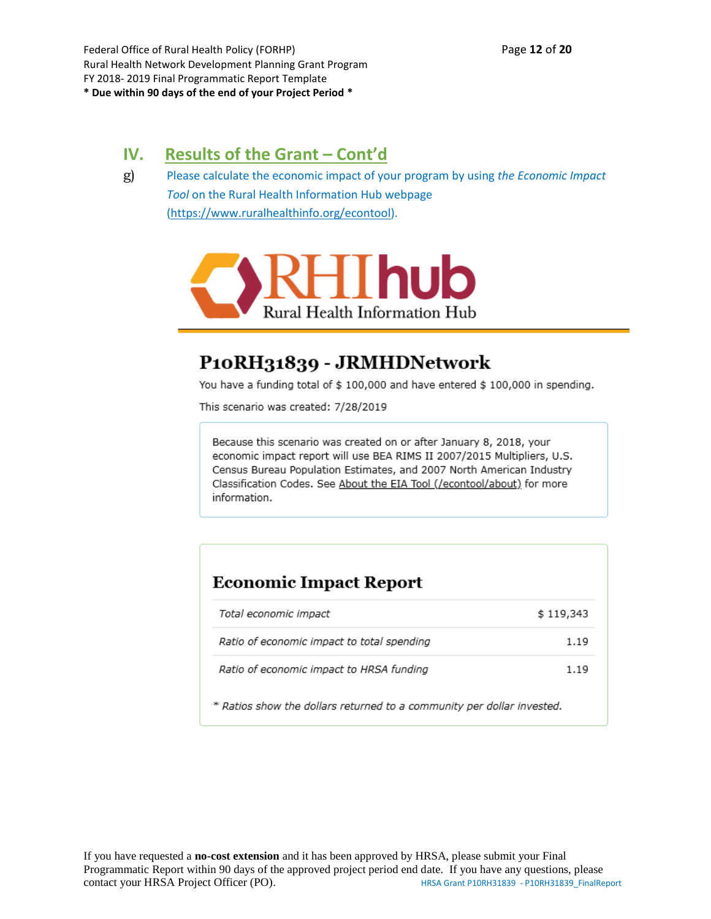Federal Office of Rural Health Policy (FORHP) Page **12** of **20** Rural Health Network Development Planning Grant Program FY 2018- 2019 Final Programmatic Report Template **\* Due within 90 days of the end of your Project Period \***

# **IV. Results of the Grant – Cont'd**

g) Please calculate the economic impact of your program by using *the Economic Impact Tool* on the Rural Health Information Hub webpage [\(https://www.ruralhealthinfo.org/econtool\)](https://www.ruralhealthinfo.org/econtool).



# P10RH31839 - JRMHDNetwork

You have a funding total of \$ 100,000 and have entered \$ 100,000 in spending.

This scenario was created: 7/28/2019

Because this scenario was created on or after January 8, 2018, your economic impact report will use BEA RIMS II 2007/2015 Multipliers, U.S. Census Bureau Population Estimates, and 2007 North American Industry Classification Codes. See About the EIA Tool (/econtool/about) for more information.

## **Economic Impact Report**

| Total economic impact                      | \$119,343 |
|--------------------------------------------|-----------|
| Ratio of economic impact to total spending | 1.19      |
| Ratio of economic impact to HRSA funding   | 1.19      |

\* Ratios show the dollars returned to a community per dollar invested.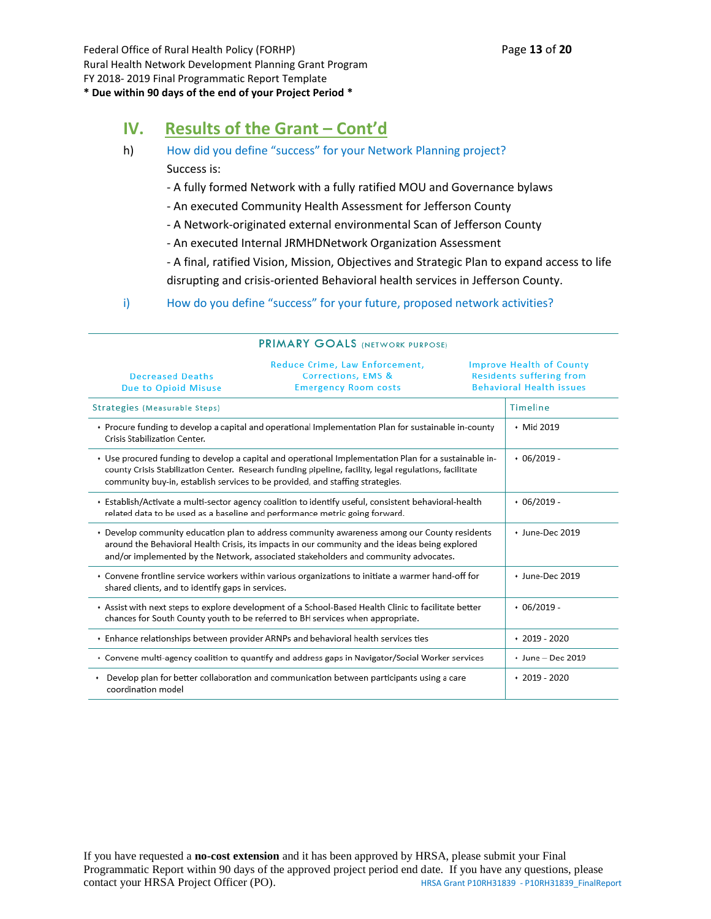#### **\* Due within 90 days of the end of your Project Period \***

## **IV. Results of the Grant – Cont'd**

- h) How did you define "success" for your Network Planning project? Success is:
	- A fully formed Network with a fully ratified MOU and Governance bylaws
	- An executed Community Health Assessment for Jefferson County
	- A Network-originated external environmental Scan of Jefferson County
	- An executed Internal JRMHDNetwork Organization Assessment
	- A final, ratified Vision, Mission, Objectives and Strategic Plan to expand access to life disrupting and crisis-oriented Behavioral health services in Jefferson County.
- i) How do you define "success" for your future, proposed network activities?

| <b>Decreased Deaths</b><br><b>Due to Opioid Misuse</b> | Reduce Crime, Law Enforcement,<br><b>Corrections, EMS &amp;</b><br><b>Emergency Room costs</b>                                                                                                                                                                                                   | <b>Improve Health of County</b><br><b>Residents suffering from</b><br><b>Behavioral Health issues</b> |
|--------------------------------------------------------|--------------------------------------------------------------------------------------------------------------------------------------------------------------------------------------------------------------------------------------------------------------------------------------------------|-------------------------------------------------------------------------------------------------------|
| Strategies (Measurable Steps)                          |                                                                                                                                                                                                                                                                                                  | <b>Timeline</b>                                                                                       |
| Crisis Stabilization Center.                           | + Procure funding to develop a capital and operational Implementation Plan for sustainable in-county                                                                                                                                                                                             | • Mid 2019                                                                                            |
|                                                        | + Use procured funding to develop a capital and operational Implementation Plan for a sustainable in-<br>county Crisis Stabilization Center. Research funding pipeline, facility, legal regulations, facilitate<br>community buy-in, establish services to be provided, and staffing strategies. | $+06/2019 -$                                                                                          |
|                                                        | + Establish/Activate a multi-sector agency coalition to identify useful, consistent behavioral-health<br>related data to be used as a baseline and performance metric going forward.                                                                                                             | $+06/2019 -$                                                                                          |
|                                                        | • Develop community education plan to address community awareness among our County residents<br>around the Behavioral Health Crisis, its impacts in our community and the ideas being explored<br>and/or implemented by the Network, associated stakeholders and community advocates.            | • June-Dec 2019                                                                                       |
| shared clients, and to identify gaps in services.      | * Convene frontline service workers within various organizations to initiate a warmer hand-off for                                                                                                                                                                                               | + June-Dec 2019                                                                                       |
|                                                        | Assist with next steps to explore development of a School-Based Health Clinic to facilitate better<br>chances for South County youth to be referred to BH services when appropriate.                                                                                                             | $+06/2019 -$                                                                                          |
|                                                        | . Enhance relationships between provider ARNPs and behavioral health services ties                                                                                                                                                                                                               | $*2019 - 2020$                                                                                        |
|                                                        | Onvene multi-agency coalition to quantify and address gaps in Navigator/Social Worker services                                                                                                                                                                                                   | • June - Dec 2019                                                                                     |
| ۰<br>coordination model                                | Develop plan for better collaboration and communication between participants using a care                                                                                                                                                                                                        | $*2019 - 2020$                                                                                        |

#### PRIMARY GOALS (NETWORK PURPOSE)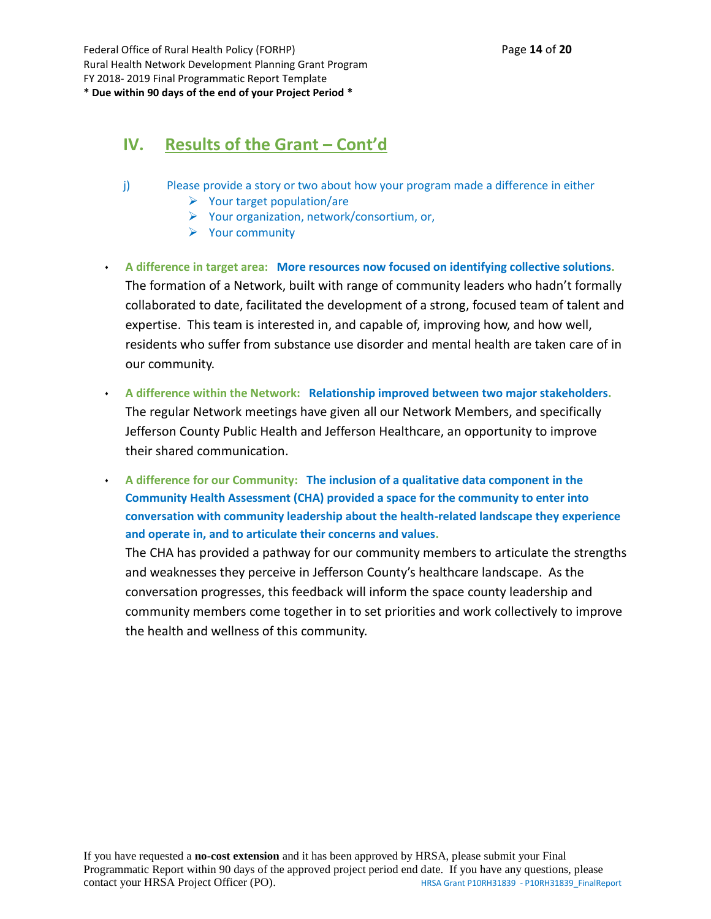Federal Office of Rural Health Policy (FORHP) Page **14** of **20** Rural Health Network Development Planning Grant Program FY 2018- 2019 Final Programmatic Report Template **\* Due within 90 days of the end of your Project Period \***

# **IV. Results of the Grant – Cont'd**

- j) Please provide a story or two about how your program made a difference in either
	- $\triangleright$  Your target population/are
	- ➢ Your organization, network/consortium, or,
	- ➢ Your community
- ⬧ **A difference in target area: More resources now focused on identifying collective solutions.** The formation of a Network, built with range of community leaders who hadn't formally collaborated to date, facilitated the development of a strong, focused team of talent and expertise. This team is interested in, and capable of, improving how, and how well, residents who suffer from substance use disorder and mental health are taken care of in our community.
- ⬧ **A difference within the Network: Relationship improved between two major stakeholders.** The regular Network meetings have given all our Network Members, and specifically Jefferson County Public Health and Jefferson Healthcare, an opportunity to improve their shared communication.
- ⬧ **A difference for our Community: The inclusion of a qualitative data component in the Community Health Assessment (CHA) provided a space for the community to enter into conversation with community leadership about the health-related landscape they experience and operate in, and to articulate their concerns and values.**

The CHA has provided a pathway for our community members to articulate the strengths and weaknesses they perceive in Jefferson County's healthcare landscape. As the conversation progresses, this feedback will inform the space county leadership and community members come together in to set priorities and work collectively to improve the health and wellness of this community.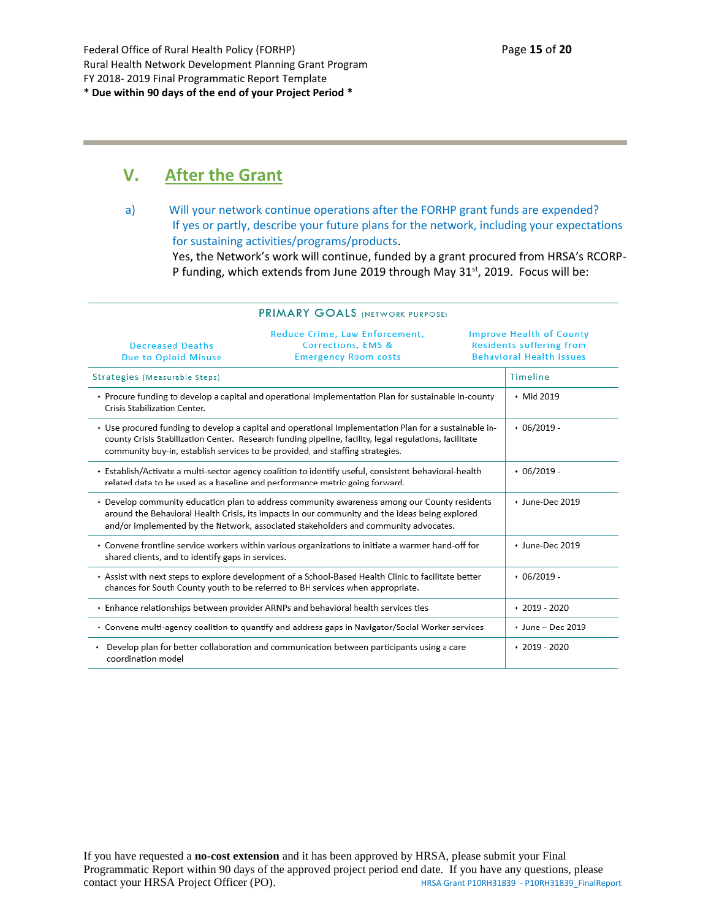## **V. After the Grant**

a) Will your network continue operations after the FORHP grant funds are expended? If yes or partly, describe your future plans for the network, including your expectations for sustaining activities/programs/products.

Yes, the Network's work will continue, funded by a grant procured from HRSA's RCORP-P funding, which extends from June 2019 through May 31<sup>st</sup>, 2019. Focus will be:

|                                                        | <b>FRIMART GOALS (NETWORK PURPOSE)</b>                                                                                                                                                                                                                                                           |                                                                                                       |  |
|--------------------------------------------------------|--------------------------------------------------------------------------------------------------------------------------------------------------------------------------------------------------------------------------------------------------------------------------------------------------|-------------------------------------------------------------------------------------------------------|--|
| <b>Decreased Deaths</b><br><b>Due to Opioid Misuse</b> | Reduce Crime, Law Enforcement,<br>Corrections, EMS &<br><b>Emergency Room costs</b>                                                                                                                                                                                                              | <b>Improve Health of County</b><br><b>Residents suffering from</b><br><b>Behavioral Health issues</b> |  |
| Strategies (Measurable Steps)                          |                                                                                                                                                                                                                                                                                                  | Timeline                                                                                              |  |
| Crisis Stabilization Center.                           | + Procure funding to develop a capital and operational Implementation Plan for sustainable in-county                                                                                                                                                                                             | • Mid 2019                                                                                            |  |
|                                                        | + Use procured funding to develop a capital and operational Implementation Plan for a sustainable in-<br>county Crisis Stabilization Center. Research funding pipeline, facility, legal regulations, facilitate<br>community buy-in, establish services to be provided, and staffing strategies. | $*06/2019 -$                                                                                          |  |
|                                                        | Establish/Activate a multi-sector agency coalition to identify useful, consistent behavioral-health<br>related data to be used as a baseline and performance metric going forward.                                                                                                               | $*06/2019 -$                                                                                          |  |
|                                                        | • Develop community education plan to address community awareness among our County residents<br>around the Behavioral Health Crisis, its impacts in our community and the ideas being explored<br>and/or implemented by the Network, associated stakeholders and community advocates.            | + June-Dec 2019                                                                                       |  |
| shared clients, and to identify gaps in services.      | Convene frontline service workers within various organizations to initiate a warmer hand-off for                                                                                                                                                                                                 | • June-Dec 2019                                                                                       |  |
|                                                        | Assist with next steps to explore development of a School-Based Health Clinic to facilitate better<br>chances for South County youth to be referred to BH services when appropriate.                                                                                                             | $*06/2019 -$                                                                                          |  |
|                                                        | • Enhance relationships between provider ARNPs and behavioral health services ties                                                                                                                                                                                                               | $*2019 - 2020$                                                                                        |  |
|                                                        | + Convene multi-agency coalition to quantify and address gaps in Navigator/Social Worker services                                                                                                                                                                                                | • June - Dec 2019                                                                                     |  |
| ٠<br>coordination model                                | Develop plan for better collaboration and communication between participants using a care                                                                                                                                                                                                        | $*2019 - 2020$                                                                                        |  |

### **PRIMARY GOALS WETWORK BURDOSEN**

If you have requested a **no-cost extension** and it has been approved by HRSA, please submit your Final Programmatic Report within 90 days of the approved project period end date. If you have any questions, please contact your HRSA Project Officer (PO). HRSA Grant P10RH31839 - P10RH31839\_FinalReport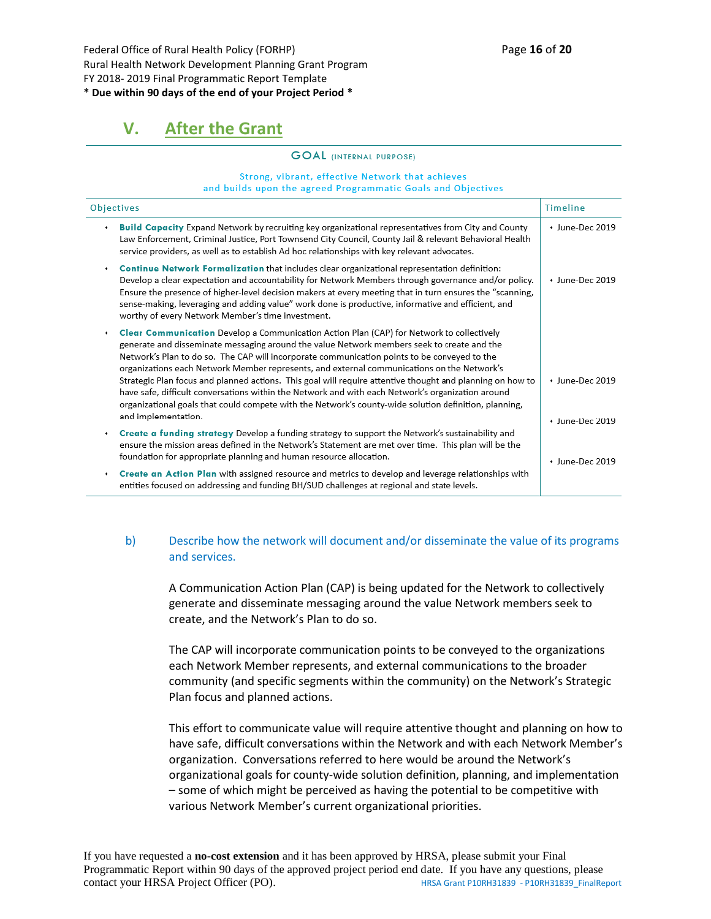Federal Office of Rural Health Policy (FORHP) Page **16** of **20** Rural Health Network Development Planning Grant Program FY 2018- 2019 Final Programmatic Report Template **\* Due within 90 days of the end of your Project Period \***

# **V. After the Grant**

#### **GOAL** (INTERNAL PURPOSE)

#### Strong, vibrant, effective Network that achieves and builds upon the agreed Programmatic Goals and Objectives

| Objectives<br>Timeline                                                                                                                                                                                                                                                                                                                                                                                                                                                                                                                                                                                                                                                                                                                  |                                    |  |  |  |
|-----------------------------------------------------------------------------------------------------------------------------------------------------------------------------------------------------------------------------------------------------------------------------------------------------------------------------------------------------------------------------------------------------------------------------------------------------------------------------------------------------------------------------------------------------------------------------------------------------------------------------------------------------------------------------------------------------------------------------------------|------------------------------------|--|--|--|
| Build Capacity Expand Network by recruiting key organizational representatives from City and County<br>Law Enforcement, Criminal Justice, Port Townsend City Council, County Jail & relevant Behavioral Health<br>service providers, as well as to establish Ad hoc relationships with key relevant advocates.                                                                                                                                                                                                                                                                                                                                                                                                                          | + June-Dec 2019                    |  |  |  |
| Continue Network Formalization that includes clear organizational representation definition:<br>Develop a clear expectation and accountability for Network Members through governance and/or policy.<br>Ensure the presence of higher-level decision makers at every meeting that in turn ensures the "scanning,<br>sense-making, leveraging and adding value" work done is productive, informative and efficient, and<br>worthy of every Network Member's time investment.                                                                                                                                                                                                                                                             | + June-Dec 2019                    |  |  |  |
| Clear Communication Develop a Communication Action Plan (CAP) for Network to collectively<br>generate and disseminate messaging around the value Network members seek to create and the<br>Network's Plan to do so. The CAP will incorporate communication points to be conveyed to the<br>organizations each Network Member represents, and external communications on the Network's<br>Strategic Plan focus and planned actions. This goal will require attentive thought and planning on how to<br>have safe, difficult conversations within the Network and with each Network's organization around<br>organizational goals that could compete with the Network's county-wide solution definition, planning,<br>and implementation. | + June-Dec 2019<br>• June-Dec 2019 |  |  |  |
| Create a funding strategy Develop a funding strategy to support the Network's sustainability and<br>ensure the mission areas defined in the Network's Statement are met over time. This plan will be the<br>foundation for appropriate planning and human resource allocation.                                                                                                                                                                                                                                                                                                                                                                                                                                                          | $+$ lune-Dec 2019                  |  |  |  |
| Create an Action Plan with assigned resource and metrics to develop and leverage relationships with<br>entities focused on addressing and funding BH/SUD challenges at regional and state levels.                                                                                                                                                                                                                                                                                                                                                                                                                                                                                                                                       |                                    |  |  |  |

#### b) Describe how the network will document and/or disseminate the value of its programs and services.

A Communication Action Plan (CAP) is being updated for the Network to collectively generate and disseminate messaging around the value Network members seek to create, and the Network's Plan to do so.

The CAP will incorporate communication points to be conveyed to the organizations each Network Member represents, and external communications to the broader community (and specific segments within the community) on the Network's Strategic Plan focus and planned actions.

This effort to communicate value will require attentive thought and planning on how to have safe, difficult conversations within the Network and with each Network Member's organization. Conversations referred to here would be around the Network's organizational goals for county-wide solution definition, planning, and implementation – some of which might be perceived as having the potential to be competitive with various Network Member's current organizational priorities.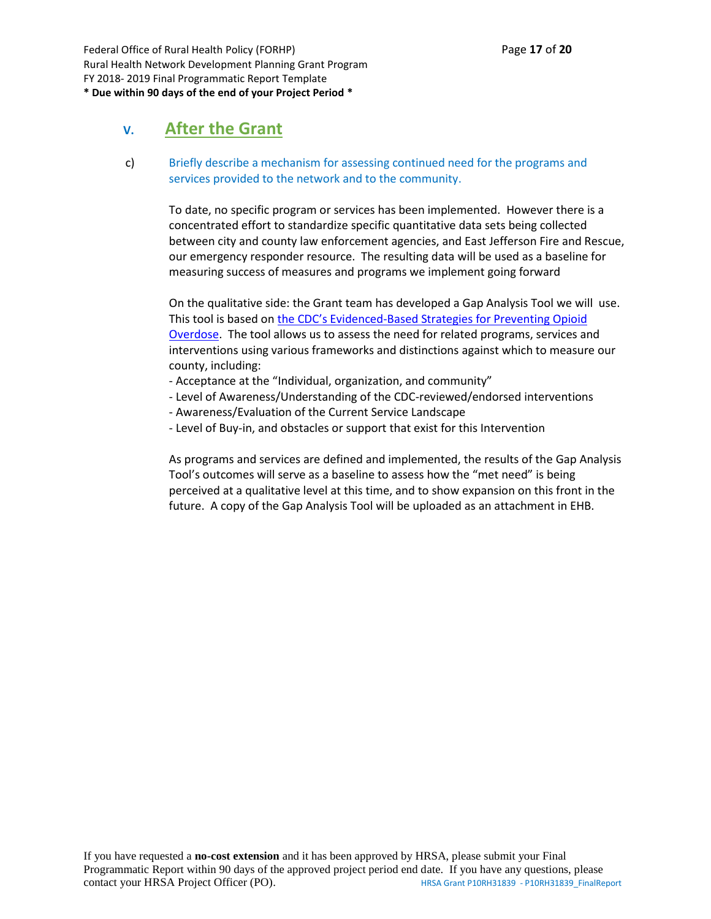Federal Office of Rural Health Policy (FORHP) Page **17** of **20** Rural Health Network Development Planning Grant Program FY 2018- 2019 Final Programmatic Report Template **\* Due within 90 days of the end of your Project Period \***

### **V. After the Grant**

c) Briefly describe a mechanism for assessing continued need for the programs and services provided to the network and to the community.

To date, no specific program or services has been implemented. However there is a concentrated effort to standardize specific quantitative data sets being collected between city and county law enforcement agencies, and East Jefferson Fire and Rescue, our emergency responder resource. The resulting data will be used as a baseline for measuring success of measures and programs we implement going forward

On the qualitative side: the Grant team has developed a Gap Analysis Tool we will use. This tool is based on the CDC's Evi[denced-Based Strategies for Preventing Opioid](https://www.cdc.gov/drugoverdose/pdf/pubs/2018-evidence-based-strategies.pdf)  [Overdose.](https://www.cdc.gov/drugoverdose/pdf/pubs/2018-evidence-based-strategies.pdf) The tool allows us to assess the need for related programs, services and interventions using various frameworks and distinctions against which to measure our county, including:

- Acceptance at the "Individual, organization, and community"
- Level of Awareness/Understanding of the CDC-reviewed/endorsed interventions
- Awareness/Evaluation of the Current Service Landscape
- Level of Buy-in, and obstacles or support that exist for this Intervention

As programs and services are defined and implemented, the results of the Gap Analysis Tool's outcomes will serve as a baseline to assess how the "met need" is being perceived at a qualitative level at this time, and to show expansion on this front in the future. A copy of the Gap Analysis Tool will be uploaded as an attachment in EHB.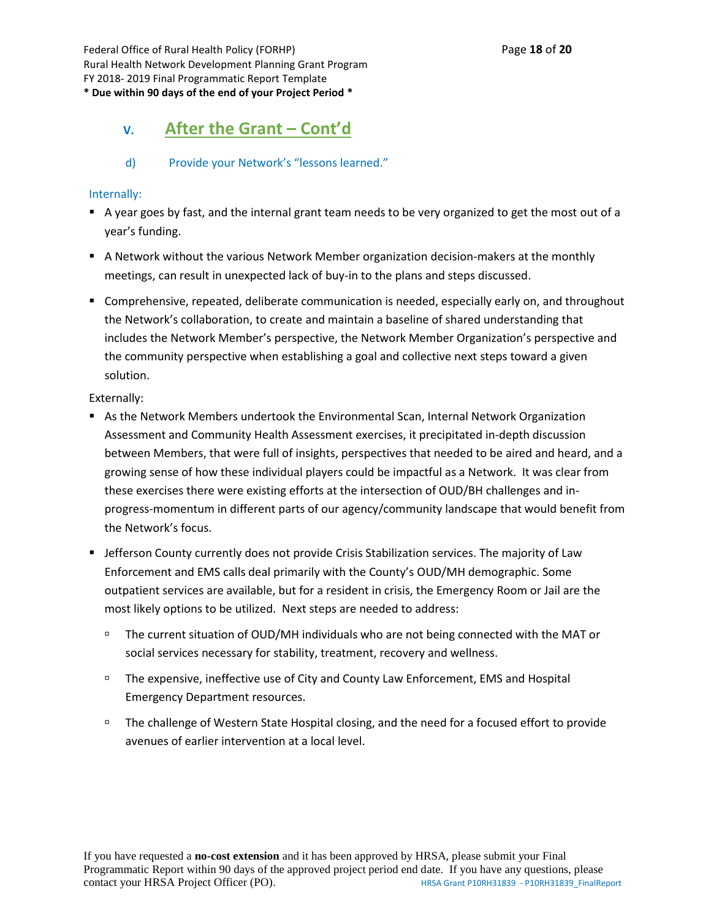Federal Office of Rural Health Policy (FORHP) Page **18** of **20** Rural Health Network Development Planning Grant Program FY 2018- 2019 Final Programmatic Report Template **\* Due within 90 days of the end of your Project Period \***

## **V. After the Grant – Cont'd**

#### d) Provide your Network's "lessons learned."

#### Internally:

- A year goes by fast, and the internal grant team needs to be very organized to get the most out of a year's funding.
- A Network without the various Network Member organization decision-makers at the monthly meetings, can result in unexpected lack of buy-in to the plans and steps discussed.
- Comprehensive, repeated, deliberate communication is needed, especially early on, and throughout the Network's collaboration, to create and maintain a baseline of shared understanding that includes the Network Member's perspective, the Network Member Organization's perspective and the community perspective when establishing a goal and collective next steps toward a given solution.

Externally:

- As the Network Members undertook the Environmental Scan, Internal Network Organization Assessment and Community Health Assessment exercises, it precipitated in-depth discussion between Members, that were full of insights, perspectives that needed to be aired and heard, and a growing sense of how these individual players could be impactful as a Network. It was clear from these exercises there were existing efforts at the intersection of OUD/BH challenges and inprogress-momentum in different parts of our agency/community landscape that would benefit from the Network's focus.
- **EXECT FIGHTS IN A JULE 2018 COUNTS 10 IS CONTEX STATE:** Julie Crisis Stabilization services. The majority of Law Enforcement and EMS calls deal primarily with the County's OUD/MH demographic. Some outpatient services are available, but for a resident in crisis, the Emergency Room or Jail are the most likely options to be utilized. Next steps are needed to address:
	- □ The current situation of OUD/MH individuals who are not being connected with the MAT or social services necessary for stability, treatment, recovery and wellness.
	- The expensive, ineffective use of City and County Law Enforcement, EMS and Hospital Emergency Department resources.
	- □ The challenge of Western State Hospital closing, and the need for a focused effort to provide avenues of earlier intervention at a local level.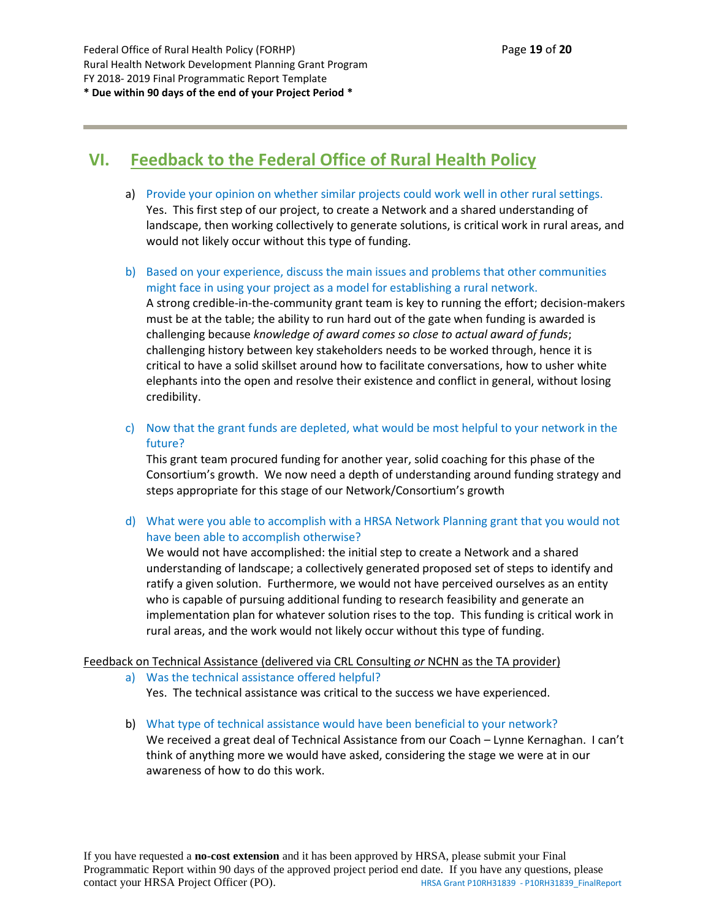# **VI. Feedback to the Federal Office of Rural Health Policy**

- a) Provide your opinion on whether similar projects could work well in other rural settings. Yes. This first step of our project, to create a Network and a shared understanding of landscape, then working collectively to generate solutions, is critical work in rural areas, and would not likely occur without this type of funding.
- b) Based on your experience, discuss the main issues and problems that other communities might face in using your project as a model for establishing a rural network. A strong credible-in-the-community grant team is key to running the effort; decision-makers must be at the table; the ability to run hard out of the gate when funding is awarded is challenging because *knowledge of award comes so close to actual award of funds*; challenging history between key stakeholders needs to be worked through, hence it is critical to have a solid skillset around how to facilitate conversations, how to usher white elephants into the open and resolve their existence and conflict in general, without losing credibility.
- c) Now that the grant funds are depleted, what would be most helpful to your network in the future?

This grant team procured funding for another year, solid coaching for this phase of the Consortium's growth. We now need a depth of understanding around funding strategy and steps appropriate for this stage of our Network/Consortium's growth

d) What were you able to accomplish with a HRSA Network Planning grant that you would not have been able to accomplish otherwise?

We would not have accomplished: the initial step to create a Network and a shared understanding of landscape; a collectively generated proposed set of steps to identify and ratify a given solution. Furthermore, we would not have perceived ourselves as an entity who is capable of pursuing additional funding to research feasibility and generate an implementation plan for whatever solution rises to the top. This funding is critical work in rural areas, and the work would not likely occur without this type of funding.

#### Feedback on Technical Assistance (delivered via CRL Consulting *or* NCHN as the TA provider)

- a) Was the technical assistance offered helpful? Yes. The technical assistance was critical to the success we have experienced.
- b) What type of technical assistance would have been beneficial to your network? We received a great deal of Technical Assistance from our Coach - Lynne Kernaghan. I can't think of anything more we would have asked, considering the stage we were at in our awareness of how to do this work.